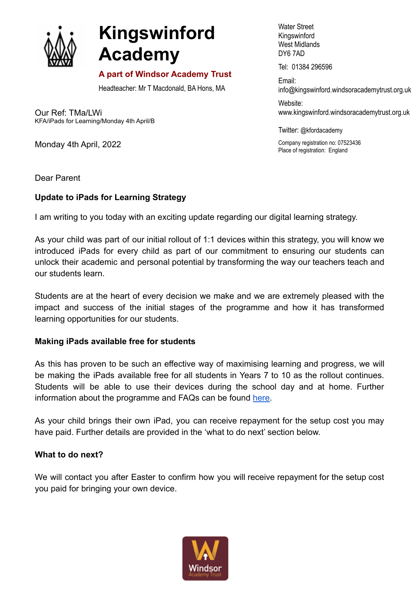

# **Kingswinford Academy**

## **A part of Windsor Academy Trust**

Headteacher: Mr T Macdonald, BA Hons, MA

Our Ref: TMa/LWi KFA/iPads for Learning/Monday 4th April/B

Monday 4th April, 2022

Water Street Kingswinford West Midlands DY6 7AD

Tel: 01384 296596

Email: info@kingswinford[.windsoracademytrust.org.uk](http://www.windsoracademytrust.org.uk)

Website: www.kingswinford.windsoracademytrust.org.uk

Twitter: @kfordacademy

Company registration no: 07523436 Place of registration: England

Dear Parent

### **Update to iPads for Learning Strategy**

I am writing to you today with an exciting update regarding our digital learning strategy.

As your child was part of our initial rollout of 1:1 devices within this strategy, you will know we introduced iPads for every child as part of our commitment to ensuring our students can unlock their academic and personal potential by transforming the way our teachers teach and our students learn.

Students are at the heart of every decision we make and we are extremely pleased with the impact and success of the initial stages of the programme and how it has transformed learning opportunities for our students.

### **Making iPads available free for students**

As this has proven to be such an effective way of maximising learning and progress, we will be making the iPads available free for all students in Years 7 to 10 as the rollout continues. Students will be able to use their devices during the school day and at home. Further information about the programme and FAQs can be found [here.](https://www.kingswinfordacademy.org.uk/1-1-devices-faqs?stage=Stage)

As your child brings their own iPad, you can receive repayment for the setup cost you may have paid. Further details are provided in the 'what to do next' section below.

### **What to do next?**

We will contact you after Easter to confirm how you will receive repayment for the setup cost you paid for bringing your own device.